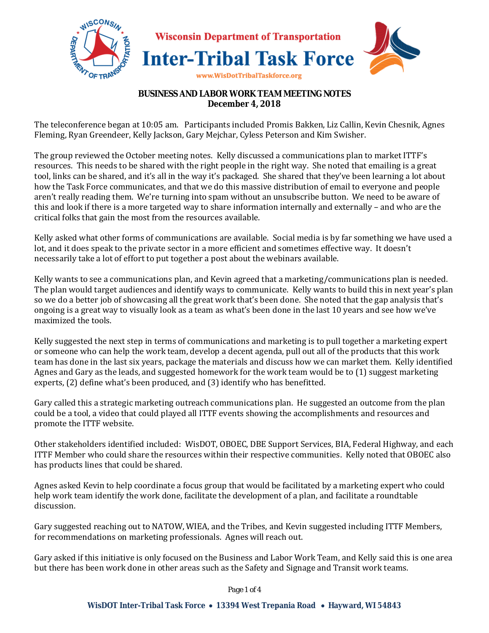

## **BUSINESS AND LABOR WORK TEAM MEETING NOTES December 4, 2018**

The teleconference began at 10:05 am. Participants included Promis Bakken, Liz Callin, Kevin Chesnik, Agnes Fleming, Ryan Greendeer, Kelly Jackson, Gary Mejchar, Cyless Peterson and Kim Swisher.

The group reviewed the October meeting notes. Kelly discussed a communications plan to market ITTF's resources. This needs to be shared with the right people in the right way. She noted that emailing is a great tool, links can be shared, and it's all in the way it's packaged. She shared that they've been learning a lot about how the Task Force communicates, and that we do this massive distribution of email to everyone and people aren't really reading them. We're turning into spam without an unsubscribe button. We need to be aware of this and look if there is a more targeted way to share information internally and externally – and who are the critical folks that gain the most from the resources available.

Kelly asked what other forms of communications are available. Social media is by far something we have used a lot, and it does speak to the private sector in a more efficient and sometimes effective way. It doesn't necessarily take a lot of effort to put together a post about the webinars available.

Kelly wants to see a communications plan, and Kevin agreed that a marketing/communications plan is needed. The plan would target audiences and identify ways to communicate. Kelly wants to build this in next year's plan so we do a better job of showcasing all the great work that's been done. She noted that the gap analysis that's ongoing is a great way to visually look as a team as what's been done in the last 10 years and see how we've maximized the tools.

Kelly suggested the next step in terms of communications and marketing is to pull together a marketing expert or someone who can help the work team, develop a decent agenda, pull out all of the products that this work team has done in the last six years, package the materials and discuss how we can market them. Kelly identified Agnes and Gary as the leads, and suggested homework for the work team would be to (1) suggest marketing experts, (2) define what's been produced, and (3) identify who has benefitted.

Gary called this a strategic marketing outreach communications plan. He suggested an outcome from the plan could be a tool, a video that could played all ITTF events showing the accomplishments and resources and promote the ITTF website.

Other stakeholders identified included: WisDOT, OBOEC, DBE Support Services, BIA, Federal Highway, and each ITTF Member who could share the resources within their respective communities. Kelly noted that OBOEC also has products lines that could be shared.

Agnes asked Kevin to help coordinate a focus group that would be facilitated by a marketing expert who could help work team identify the work done, facilitate the development of a plan, and facilitate a roundtable discussion.

Gary suggested reaching out to NATOW, WIEA, and the Tribes, and Kevin suggested including ITTF Members, for recommendations on marketing professionals. Agnes will reach out.

Gary asked if this initiative is only focused on the Business and Labor Work Team, and Kelly said this is one area but there has been work done in other areas such as the Safety and Signage and Transit work teams.

*Page 1 of 4*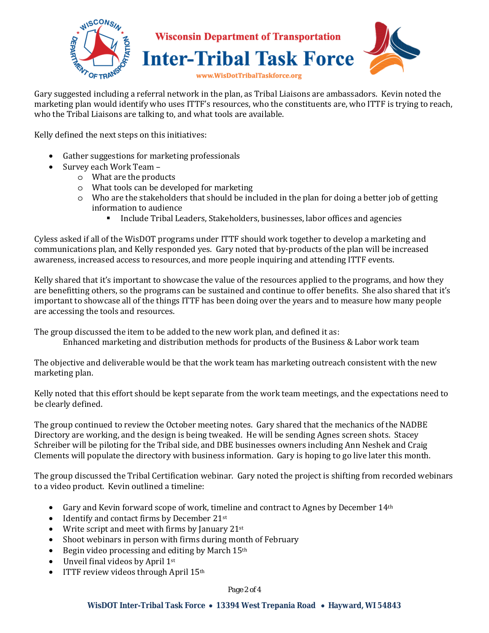

Gary suggested including a referral network in the plan, as Tribal Liaisons are ambassadors. Kevin noted the marketing plan would identify who uses ITTF's resources, who the constituents are, who ITTF is trying to reach, who the Tribal Liaisons are talking to, and what tools are available.

Kelly defined the next steps on this initiatives:

- Gather suggestions for marketing professionals
- Survey each Work Team
	- o What are the products
	- o What tools can be developed for marketing
	- o Who are the stakeholders that should be included in the plan for doing a better job of getting information to audience
		- Include Tribal Leaders, Stakeholders, businesses, labor offices and agencies

Cyless asked if all of the WisDOT programs under ITTF should work together to develop a marketing and communications plan, and Kelly responded yes. Gary noted that by-products of the plan will be increased awareness, increased access to resources, and more people inquiring and attending ITTF events.

Kelly shared that it's important to showcase the value of the resources applied to the programs, and how they are benefitting others, so the programs can be sustained and continue to offer benefits. She also shared that it's important to showcase all of the things ITTF has been doing over the years and to measure how many people are accessing the tools and resources.

The group discussed the item to be added to the new work plan, and defined it as:

Enhanced marketing and distribution methods for products of the Business & Labor work team

The objective and deliverable would be that the work team has marketing outreach consistent with the new marketing plan.

Kelly noted that this effort should be kept separate from the work team meetings, and the expectations need to be clearly defined.

The group continued to review the October meeting notes. Gary shared that the mechanics of the NADBE Directory are working, and the design is being tweaked. He will be sending Agnes screen shots. Stacey Schreiber will be piloting for the Tribal side, and DBE businesses owners including Ann Neshek and Craig Clements will populate the directory with business information. Gary is hoping to go live later this month.

The group discussed the Tribal Certification webinar. Gary noted the project is shifting from recorded webinars to a video product. Kevin outlined a timeline:

- Gary and Kevin forward scope of work, timeline and contract to Agnes by December 14<sup>th</sup>
- Identify and contact firms by December 21st
- Write script and meet with firms by January  $21^{st}$
- Shoot webinars in person with firms during month of February
- Begin video processing and editing by March 15th
- Unveil final videos by April 1st
- ITTF review videos through April 15<sup>th</sup>

## *Page 2 of 4*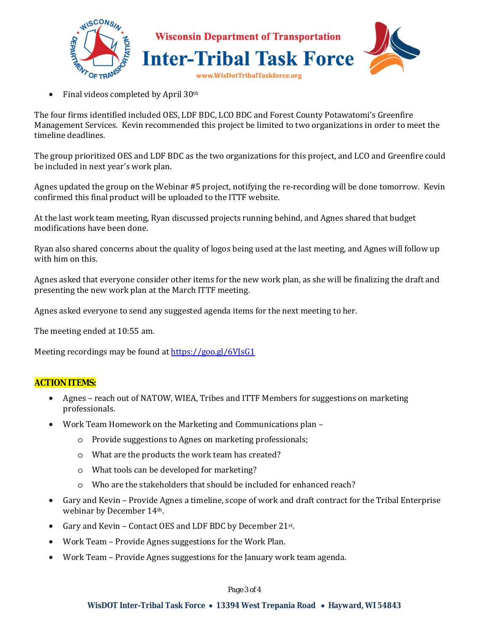

• Final videos completed by April 30<sup>th</sup>

The four firms identified included OES, LDF BDC, LCO BDC and Forest County Potawatomi's Greenfire Management Services. Kevin recommended this project be limited to two organizations in order to meet the timeline deadlines.

The group prioritized OES and LDF BDC as the two organizations for this project, and LCO and Greenfire could be included in next year's work plan.

Agnes updated the group on the Webinar #5 project, notifying the re-recording will be done tomorrow. Kevin confirmed this final product will be uploaded to the ITTF website.

At the last work team meeting, Ryan discussed projects running behind, and Agnes shared that budget modifications have been done.

Ryan also shared concerns about the quality of logos being used at the last meeting, and Agnes will follow up with him on this.

Agnes asked that everyone consider other items for the new work plan, as she will be finalizing the draft and presenting the new work plan at the March ITTF meeting.

Agnes asked everyone to send any suggested agenda items for the next meeting to her.

The meeting ended at 10:55 am.

Meeting recordings may be found at https://goo.gl/6VJsG1

## **ACTION ITEMS:**

- Agnes reach out of NATOW, WIEA, Tribes and ITTF Members for suggestions on marketing professionals.
- Work Team Homework on the Marketing and Communications plan
	- o Provide suggestions to Agnes on marketing professionals;
	- o What are the products the work team has created?
	- o What tools can be developed for marketing?
	- o Who are the stakeholders that should be included for enhanced reach?
- Gary and Kevin Provide Agnes a timeline, scope of work and draft contract for the Tribal Enterprise webinar by December 14th.
- Gary and Kevin Contact OES and LDF BDC by December 21st.
- Work Team Provide Agnes suggestions for the Work Plan.
- Work Team Provide Agnes suggestions for the January work team agenda.